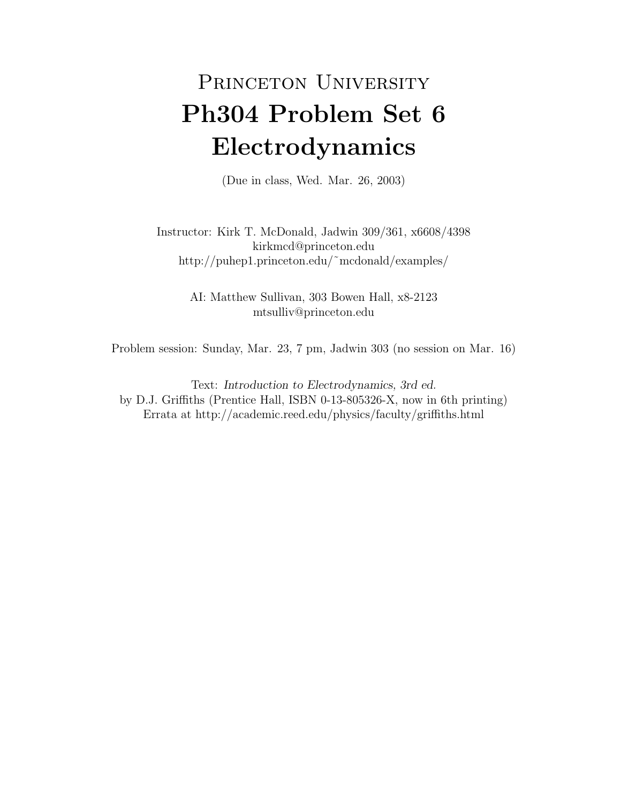## PRINCETON UNIVERSITY Ph304 Problem Set 6 Electrodynamics

(Due in class, Wed. Mar. 26, 2003)

Instructor: Kirk T. McDonald, Jadwin 309/361, x6608/4398 kirkmcd@princeton.edu http://puhep1.princeton.edu/˜mcdonald/examples/

> AI: Matthew Sullivan, 303 Bowen Hall, x8-2123 mtsulliv@princeton.edu

Problem session: Sunday, Mar. 23, 7 pm, Jadwin 303 (no session on Mar. 16)

Text: Introduction to Electrodynamics, 3rd ed. by D.J. Griffiths (Prentice Hall, ISBN 0-13-805326-X, now in 6th printing) Errata at http://academic.reed.edu/physics/faculty/griffiths.html